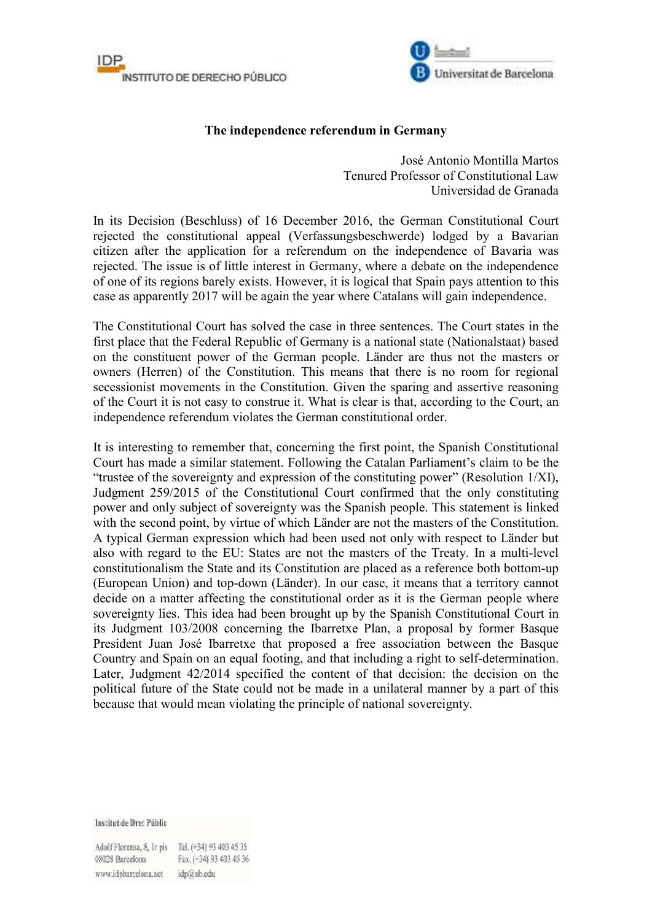



## **The independence referendum in Germany**

José Antonio Montilla Martos Tenured Professor of Constitutional Law Universidad de Granada

In its Decision (Beschluss) of 16 December 2016, the German Constitutional Court rejected the constitutional appeal (Verfassungsbeschwerde) lodged by a Bavarian citizen after the application for a referendum on the independence of Bavaria was rejected. The issue is of little interest in Germany, where a debate on the independence of one of its regions barely exists. However, it is logical that Spain pays attention to this case as apparently 2017 will be again the year where Catalans will gain independence.

The Constitutional Court has solved the case in three sentences. The Court states in the first place that the Federal Republic of Germany is a national state (Nationalstaat) based on the constituent power of the German people. Länder are thus not the masters or owners (Herren) of the Constitution. This means that there is no room for regional secessionist movements in the Constitution. Given the sparing and assertive reasoning of the Court it is not easy to construe it. What is clear is that, according to the Court, an independence referendum violates the German constitutional order.

It is interesting to remember that, concerning the first point, the Spanish Constitutional Court has made a similar statement. Following the Catalan Parliament's claim to be the "trustee of the sovereignty and expression of the constituting power" (Resolution 1/XI), Judgment 259/2015 of the Constitutional Court confirmed that the only constituting power and only subject of sovereignty was the Spanish people. This statement is linked with the second point, by virtue of which Länder are not the masters of the Constitution. A typical German expression which had been used not only with respect to Länder but also with regard to the EU: States are not the masters of the Treaty. In a multi-level constitutionalism the State and its Constitution are placed as a reference both bottom-up (European Union) and top-down (Länder). In our case, it means that a territory cannot decide on a matter affecting the constitutional order as it is the German people where sovereignty lies. This idea had been brought up by the Spanish Constitutional Court in its Judgment 103/2008 concerning the Ibarretxe Plan, a proposal by former Basque President Juan José Ibarretxe that proposed a free association between the Basque Country and Spain on an equal footing, and that including a right to self-determination. Later, Judgment 42/2014 specified the content of that decision: the decision on the political future of the State could not be made in a unilateral manner by a part of this because that would mean violating the principle of national sovereignty.

**Institut de Dret Públic** 

Adolf Florensa, 8, Ir pis Tel. (+34) 93 403 45 35 Fax. (+34) 93 403 45 36 08028 Barcelona www.idpbarcelona.net idp@ub.edu